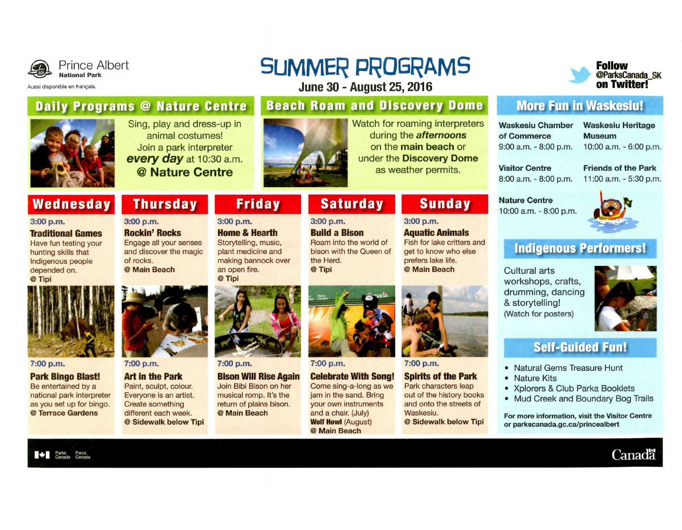

## Prince Albert

Aussi disponible en français.

# **SUMMER PROGRAMS**

June 30-August 25,2016

### **Daily Programs @ Nature Centre | Beach Roam and Discovery Dome | More Fun in Waskesiu!**



Watch for roaming interpreters under the **Discovery Dome** 



**Waskesiu Chamber Waskesiu Heritage of Commerce Museum** 

9:00 **a.m. -** 8:00 **p.m. 1**0:00 **a.m. -** 6:00 **p.m.** 

**Visitor Centre Friends of the Park**  8:00 **a.m. -** 8:00 **p.m. 11**:00 **a.m. -** 5:30 **p.m.** 

**Nature Centre**  10:00 a.m. - 8:00 p.m.



### **Indigenous Performers!**

Cultural arts workshops, crafts, drumming, dancing & storytelling! (Watch for posters)



**Canada** 

### Self-Guided **Fun!**

- Natural Gems Treasure Hunt
- Nature Kits
- Xplorers & Club Parka Booklets
- Mud Creek and Boundary Bog Trails

For more information, visit the Visitor Centre or parkscanada.gc.ca/princealbert

**3:00** p.m.



**7:00 p.m.** 

Park characters leap

@ **Sidewalk below Tipi** 

**Wednesday Thursday** 

**3:00 p.m. Rockin' Rocks**  Engage all your senses and discover the magic

of rocks. @ **Main Beach** 

### **7:00 p.m.**

**3:00 p.m.** 

**Traditional Games**  Have fun testing your hunting skills that Indigenous people depended on. @ **Tipi** 

**Park Bingo Blast!** 

Be entertained by a national park interpreter as you set up for bingo. @ **Terrace Gardens** 

Parks Canada Parcs Canada



Sing, play and dress-up in animai costumes! Join a park interpreter **every day at 1**0:30 **a.m. @ Nature Centre** 

### **7:00** p.m.

**Art in the Park**  Paint, sculpt, colour. Everyone is an artist. Create something different each week. @ **Sidewalk below Tipi** 



**Friday** 

**3:00** p.m. **Home & Hearth**  Storytelling, music, plant medicine and

**7:00** p.m.

**Bison Will Rise Again**  Join Bibi Bison on her musical romp. It's the return of plains bison. @ **Main Beach** 



**7:00** p.m.

**Celebrate With Song!**  Come sing-a-long as we jam in the sand. Bring your own instruments and a chair. (July) **Wolf Howl** (August) @ **Main Beach** 









making bannock over the Herd. @ **Tipi** 

**3:00** p.m. **Build a Bison**  Roam into the world of bison with the Queen of

**Saturday** 

## **Sunday**

**Aquatic Animals** 

Fish for lake critters and get to know who else prefers lake life. @ **Main Beach**